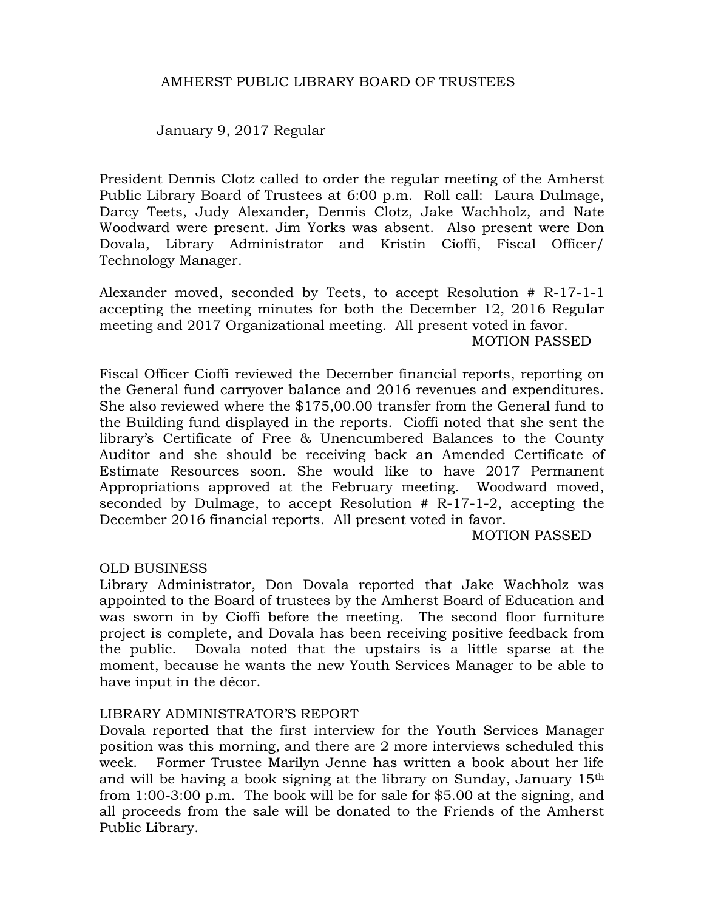### AMHERST PUBLIC LIBRARY BOARD OF TRUSTEES

January 9, 2017 Regular

President Dennis Clotz called to order the regular meeting of the Amherst Public Library Board of Trustees at 6:00 p.m. Roll call: Laura Dulmage, Darcy Teets, Judy Alexander, Dennis Clotz, Jake Wachholz, and Nate Woodward were present. Jim Yorks was absent. Also present were Don Dovala, Library Administrator and Kristin Cioffi, Fiscal Officer/ Technology Manager.

Alexander moved, seconded by Teets, to accept Resolution # R-17-1-1 accepting the meeting minutes for both the December 12, 2016 Regular meeting and 2017 Organizational meeting. All present voted in favor. MOTION PASSED

Fiscal Officer Cioffi reviewed the December financial reports, reporting on the General fund carryover balance and 2016 revenues and expenditures. She also reviewed where the \$175,00.00 transfer from the General fund to the Building fund displayed in the reports. Cioffi noted that she sent the library's Certificate of Free & Unencumbered Balances to the County Auditor and she should be receiving back an Amended Certificate of Estimate Resources soon. She would like to have 2017 Permanent Appropriations approved at the February meeting. Woodward moved, seconded by Dulmage, to accept Resolution # R-17-1-2, accepting the December 2016 financial reports. All present voted in favor.

MOTION PASSED

#### OLD BUSINESS

Library Administrator, Don Dovala reported that Jake Wachholz was appointed to the Board of trustees by the Amherst Board of Education and was sworn in by Cioffi before the meeting. The second floor furniture project is complete, and Dovala has been receiving positive feedback from the public. Dovala noted that the upstairs is a little sparse at the moment, because he wants the new Youth Services Manager to be able to have input in the décor.

#### LIBRARY ADMINISTRATOR'S REPORT

Dovala reported that the first interview for the Youth Services Manager position was this morning, and there are 2 more interviews scheduled this week. Former Trustee Marilyn Jenne has written a book about her life and will be having a book signing at the library on Sunday, January 15th from 1:00-3:00 p.m. The book will be for sale for \$5.00 at the signing, and all proceeds from the sale will be donated to the Friends of the Amherst Public Library.